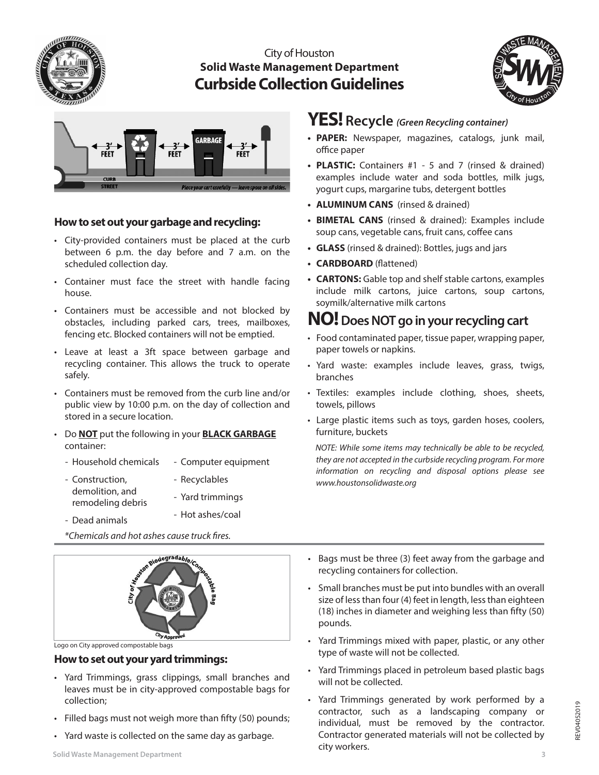

## City of Houston **Solid Waste Management Department Curbside Collection Guidelines**





### **How to set out your garbage and recycling:**

- City-provided containers must be placed at the curb between 6 p.m. the day before and 7 a.m. on the scheduled collection day.
- Container must face the street with handle facing house.
- Containers must be accessible and not blocked by obstacles, including parked cars, trees, mailboxes, fencing etc. Blocked containers will not be emptied.
- Leave at least a 3ft space between garbage and recycling container. This allows the truck to operate safely.
- Containers must be removed from the curb line and/or public view by 10:00 p.m. on the day of collection and stored in a secure location.
- Do **NOT** put the following in your **BLACK GARBAGE** container:
	- Household chemicals - Computer equipment
	- Construction, demolition, and - Recyclables
		- Yard trimmings
	- Dead animals - Hot ashes/coal

remodeling debris

\*Chemicals and hot ashes cause truck fires



Logo on City approved compostable bags

#### **How to set out your yard trimmings:**

- Yard Trimmings, grass clippings, small branches and leaves must be in city-approved compostable bags for collection;
- Filled bags must not weigh more than fifty (50) pounds;
- Yard waste is collected on the same day as garbage.

# **YES! Recycle (Green Recycling container)**

- **PAPER:** Newspaper, magazines, catalogs, junk mail, office paper
- **PLASTIC:** Containers #1 5 and 7 (rinsed & drained) examples include water and soda bottles, milk jugs, yogurt cups, margarine tubs, detergent bottles
- **ALUMINUM CANS** (rinsed & drained)
- **BIMETAL CANS** (rinsed & drained): Examples include soup cans, vegetable cans, fruit cans, coffee cans
- **GLASS** (rinsed & drained): Bottles, jugs and jars
- **CARDBOARD** (flattened)
- **CARTONS:** Gable top and shelf stable cartons, examples include milk cartons, juice cartons, soup cartons, soymilk/alternative milk cartons

# **NO!Does NOT go in your recycling cart**

- Food contaminated paper, tissue paper, wrapping paper, paper towels or napkins.
- Yard waste: examples include leaves, grass, twigs, branches
- Textiles: examples include clothing, shoes, sheets, towels, pillows
- Large plastic items such as toys, garden hoses, coolers, furniture, buckets

NOTE: While some items may technically be able to be recycled, they are not accepted in the curbside recycling program. For more information on recycling and disposal options please see www.houstonsolidwaste.org

- Bags must be three (3) feet away from the garbage and recycling containers for collection.
- Small branches must be put into bundles with an overall size of less than four (4) feet in length, less than eighteen (18) inches in diameter and weighing less than fifty (50) pounds.
- Yard Trimmings mixed with paper, plastic, or any other type of waste will not be collected.
- Yard Trimmings placed in petroleum based plastic bags will not be collected.
- Yard Trimmings generated by work performed by a contractor, such as a landscaping company or individual, must be removed by the contractor. Contractor generated materials will not be collected by city workers.